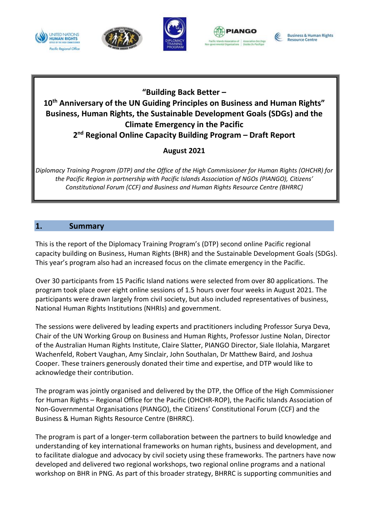









## **"Building Back Better – 10th Anniversary of the UN Guiding Principles on Business and Human Rights" Business, Human Rights, the Sustainable Development Goals (SDGs) and the Climate Emergency in the Pacific**

**2 nd Regional Online Capacity Building Program – Draft Report**

## **August 2021**

*Diplomacy Training Program (DTP) and the Office of the High Commissioner for Human Rights (OHCHR) for the Pacific Region in partnership with Pacific Islands Association of NGOs (PIANGO), Citizens' Constitutional Forum (CCF) and Business and Human Rights Resource Centre (BHRRC)*

## **1. Summary**

This is the report of the Diplomacy Training Program's (DTP) second online Pacific regional capacity building on Business, Human Rights (BHR) and the Sustainable Development Goals (SDGs). This year's program also had an increased focus on the climate emergency in the Pacific.

Over 30 participants from 15 Pacific Island nations were selected from over 80 applications. The program took place over eight online sessions of 1.5 hours over four weeks in August 2021. The participants were drawn largely from civil society, but also included representatives of business, National Human Rights Institutions (NHRIs) and government.

The sessions were delivered by leading experts and practitioners including Professor Surya Deva, Chair of the UN Working Group on Business and Human Rights, Professor Justine Nolan, Director of the Australian Human Rights Institute, Claire Slatter, PIANGO Director, Siale Ilolahia, Margaret Wachenfeld, Robert Vaughan, Amy Sinclair, John Southalan, Dr Matthew Baird, and Joshua Cooper. These trainers generously donated their time and expertise, and DTP would like to acknowledge their contribution.

The program was jointly organised and delivered by the DTP, the Office of the High Commissioner for Human Rights – Regional Office for the Pacific (OHCHR-ROP), the Pacific Islands Association of Non-Governmental Organisations (PIANGO), the Citizens' Constitutional Forum (CCF) and the Business & Human Rights Resource Centre (BHRRC).

The program is part of a longer-term collaboration between the partners to build knowledge and understanding of key international frameworks on human rights, business and development, and to facilitate dialogue and advocacy by civil society using these frameworks. The partners have now developed and delivered two regional workshops, two regional online programs and a national workshop on BHR in PNG. As part of this broader strategy, BHRRC is supporting communities and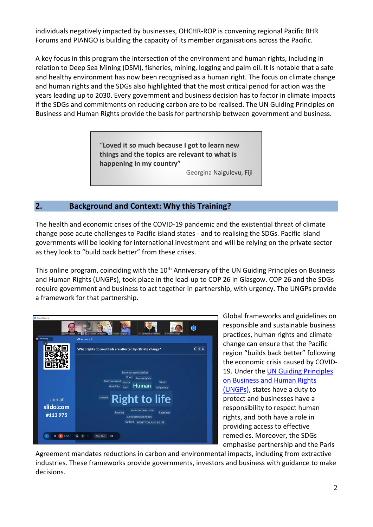individuals negatively impacted by businesses, OHCHR-ROP is convening regional Pacific BHR Forums and PIANGO is building the capacity of its member organisations across the Pacific.

A key focus in this program the intersection of the environment and human rights, including in relation to Deep Sea Mining (DSM), fisheries, mining, logging and palm oil. It is notable that a safe and healthy environment has now been recognised as a human right. The focus on climate change and human rights and the SDGs also highlighted that the most critical period for action was the years leading up to 2030. Every government and business decision has to factor in climate impacts if the SDGs and commitments on reducing carbon are to be realised. The UN Guiding Principles on Business and Human Rights provide the basis for partnership between government and business.

> "**Loved it so much because I got to learn new things and the topics are relevant to what is happening in my country"** Georgina Naigulevu, Fiji

## **2. Background and Context: Why this Training?**

The health and economic crises of the COVID-19 pandemic and the existential threat of climate change pose acute challenges to Pacific island states - and to realising the SDGs. Pacific island governments will be looking for international investment and will be relying on the private sector as they look to "build back better" from these crises.

This online program, coinciding with the 10<sup>th</sup> Anniversary of the UN Guiding Principles on Business and Human Rights (UNGPs), took place in the lead-up to COP 26 in Glasgow. COP 26 and the SDGs require government and business to act together in partnership, with urgency. The UNGPs provide a framework for that partnership.



Global frameworks and guidelines on responsible and sustainable business practices, human rights and climate change can ensure that the Pacific region "builds back better" following the economic crisis caused by COVID-19. Under the UN Guiding [Principles](https://www.ohchr.org/documents/publications/guidingprinciplesbusinesshr_en.pdf) on [Business](https://www.ohchr.org/documents/publications/guidingprinciplesbusinesshr_en.pdf) and Human Rights [\(UNGPs\)](https://www.ohchr.org/documents/publications/guidingprinciplesbusinesshr_en.pdf), states have a duty to protect and businesses have a responsibility to respect human rights, and both have a role in providing access to effective remedies. Moreover, the SDGs emphasise partnership and the Paris

Agreement mandates reductions in carbon and environmental impacts, including from extractive industries. These frameworks provide governments, investors and business with guidance to make decisions.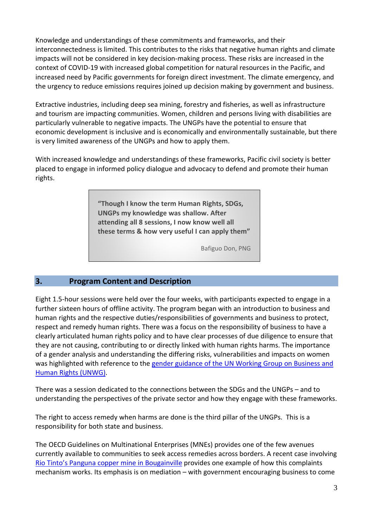Knowledge and understandings of these commitments and frameworks, and their interconnectedness is limited. This contributes to the risks that negative human rights and climate impacts will not be considered in key decision-making process. These risks are increased in the context of COVID-19 with increased global competition for natural resources in the Pacific, and increased need by Pacific governments for foreign direct investment. The climate emergency, and the urgency to reduce emissions requires joined up decision making by government and business.

Extractive industries, including deep sea mining, forestry and fisheries, as well as infrastructure and tourism are impacting communities. Women, children and persons living with disabilities are particularly vulnerable to negative impacts. The UNGPs have the potential to ensure that economic development is inclusive and is economically and environmentally sustainable, but there is very limited awareness of the UNGPs and how to apply them.

With increased knowledge and understandings of these frameworks, Pacific civil society is better placed to engage in informed policy dialogue and advocacy to defend and promote their human rights.

> **"Though I know the term Human Rights, SDGs, UNGPs my knowledge was shallow. After attending all 8 sessions, I now know well all these terms & how very useful I can apply them"**

> > Bafiguo Don, PNG

## **3. Program Content and Description**

Eight 1.5-hour sessions were held over the four weeks, with participants expected to engage in a further sixteen hours of offline activity. The program began with an introduction to business and human rights and the respective duties/responsibilities of governments and business to protect, respect and remedy human rights. There was a focus on the responsibility of business to have a clearly articulated human rights policy and to have clear processes of due diligence to ensure that they are not causing, contributing to or directly linked with human rights harms. The importance of a gender analysis and understanding the differing risks, vulnerabilities and impacts on women was highlighted with reference to the gender [guidance](https://www.ohchr.org/Documents/Issues/Business/BookletGenderDimensionsGuidingPrinciples.pdf) of the UN Working Group on Business and Human Rights [\(UNWG\).](https://www.ohchr.org/Documents/Issues/Business/BookletGenderDimensionsGuidingPrinciples.pdf)

There was a session dedicated to the connections between the SDGs and the UNGPs – and to understanding the perspectives of the private sector and how they engage with these frameworks.

The right to access remedy when harms are done is the third pillar of the UNGPs. This is a responsibility for both state and business.

The OECD Guidelines on Multinational Enterprises (MNEs) provides one of the few avenues currently available to communities to seek access remedies across borders. A recent case involving Rio Tinto's Panguna copper mine in [Bougainville](https://www.oecdwatch.org/complaint/human-rights-law-centre-vs-rio-tinto/) provides one example of how this complaints mechanism works. Its emphasis is on mediation – with government encouraging business to come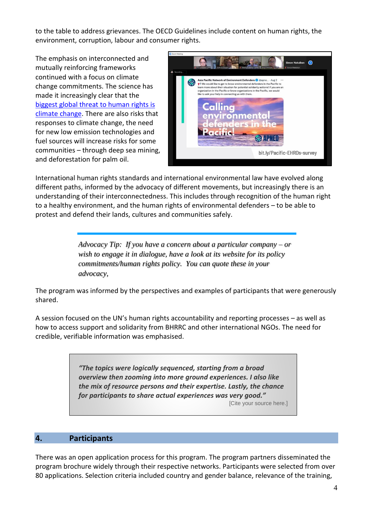to the table to address grievances. The OECD Guidelines include content on human rights, the environment, corruption, labour and consumer rights.

The emphasis on interconnected and mutually reinforcing frameworks continued with a focus on climate change commitments. The science has made it increasingly clear that the [biggest](https://www.unep.org/resources/report/climate-change-and-human-rights) global threat to human rights is climate [change.](https://www.unep.org/resources/report/climate-change-and-human-rights) There are also risks that responses to climate change, the need for new low emission technologies and fuel sources will increase risks for some communities – through deep sea mining, and deforestation for palm oil.



International human rights standards and international environmental law have evolved along different paths, informed by the advocacy of different movements, but increasingly there is an understanding of their interconnectedness. This includes through recognition of the human right to a healthy environment, and the human rights of environmental defenders – to be able to protest and defend their lands, cultures and communities safely.

> *Advocacy Tip: If you have a concern about a particular company – or wish to engage it in dialogue, have a look at its website for its policy commitments/human rights policy. You can quote these in your advocacy,*

The program was informed by the perspectives and examples of participants that were generously shared.

A session focused on the UN's human rights accountability and reporting processes – as well as how to access support and solidarity from BHRRC and other international NGOs. The need for credible, verifiable information was emphasised.

> *"The topics were logically sequenced, starting from a broad overview then zooming into more ground experiences. I also like the mix of resource persons and their expertise. Lastly, the chance for participants to share actual experiences was very good."*

[Cite your source here.]

## **4. Participants**

There was an open application process for this program. The program partners disseminated the program brochure widely through their respective networks. Participants were selected from over 80 applications. Selection criteria included country and gender balance, relevance of the training,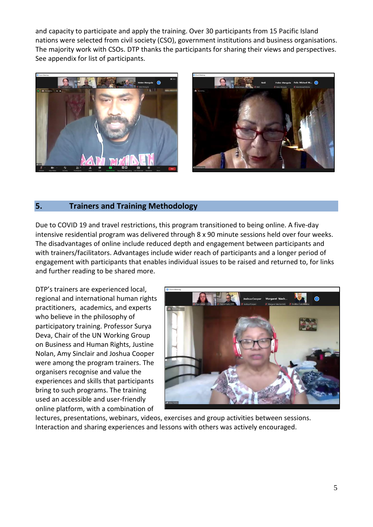and capacity to participate and apply the training. Over 30 participants from 15 Pacific Island nations were selected from civil society (CSO), government institutions and business organisations. The majority work with CSOs. DTP thanks the participants for sharing their views and perspectives. See appendix for list of participants.





## **5. Trainers and Training Methodology**

Due to COVID 19 and travel restrictions, this program transitioned to being online. A five-day intensive residential program was delivered through 8 x 90 minute sessions held over four weeks. The disadvantages of online include reduced depth and engagement between participants and with trainers/facilitators. Advantages include wider reach of participants and a longer period of engagement with participants that enables individual issues to be raised and returned to, for links and further reading to be shared more.

DTP's trainers are experienced local, regional and international human rights practitioners, academics, and experts who believe in the philosophy of participatory training. Professor Surya Deva, Chair of the UN Working Group on Business and Human Rights, Justine Nolan, Amy Sinclair and Joshua Cooper were among the program trainers. The organisers recognise and value the experiences and skills that participants bring to such programs. The training used an accessible and user-friendly online platform, with a combination of



lectures, presentations, webinars, videos, exercises and group activities between sessions. Interaction and sharing experiences and lessons with others was actively encouraged.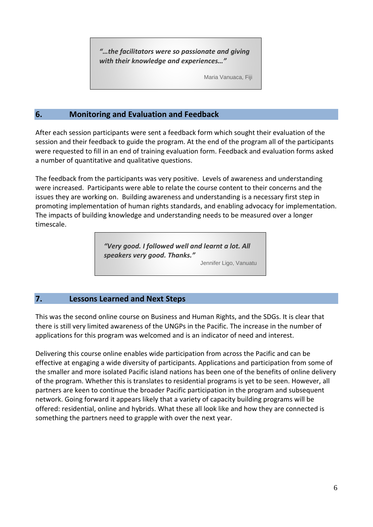*"…the facilitators were so passionate and giving with their knowledge and experiences…"*

Maria Vanuaca, Fiji

## **6. Monitoring and Evaluation and Feedback**

After each session participants were sent a feedback form which sought their evaluation of the session and their feedback to guide the program. At the end of the program all of the participants were requested to fill in an end of training evaluation form. Feedback and evaluation forms asked a number of quantitative and qualitative questions.

The feedback from the participants was very positive. Levels of awareness and understanding were increased. Participants were able to relate the course content to their concerns and the issues they are working on. Building awareness and understanding is a necessary first step in promoting implementation of human rights standards, and enabling advocacy for implementation. The impacts of building knowledge and understanding needs to be measured over a longer timescale.

> *"Very good. I followed well and learnt a lot. All speakers very good. Thanks."* Jennifer Ligo, Vanuatu

## **7. Lessons Learned and Next Steps**

This was the second online course on Business and Human Rights, and the SDGs. It is clear that there is still very limited awareness of the UNGPs in the Pacific. The increase in the number of applications for this program was welcomed and is an indicator of need and interest.

Delivering this course online enables wide participation from across the Pacific and can be effective at engaging a wide diversity of participants. Applications and participation from some of the smaller and more isolated Pacific island nations has been one of the benefits of online delivery of the program. Whether this is translates to residential programs is yet to be seen. However, all partners are keen to continue the broader Pacific participation in the program and subsequent network. Going forward it appears likely that a variety of capacity building programs will be offered: residential, online and hybrids. What these all look like and how they are connected is something the partners need to grapple with over the next year.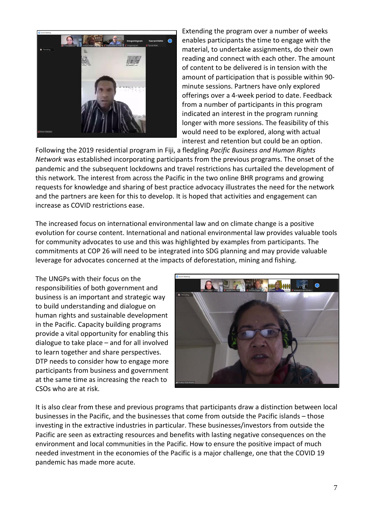

Extending the program over a number of weeks enables participants the time to engage with the material, to undertake assignments, do their own reading and connect with each other. The amount of content to be delivered is in tension with the amount of participation that is possible within 90 minute sessions. Partners have only explored offerings over a 4-week period to date. Feedback from a number of participants in this program indicated an interest in the program running longer with more sessions. The feasibility of this would need to be explored, along with actual interest and retention but could be an option.

Following the 2019 residential program in Fiji, a fledgling *Pacific Business and Human Rights Network* was established incorporating participants from the previous programs. The onset of the pandemic and the subsequent lockdowns and travel restrictions has curtailed the development of this network. The interest from across the Pacific in the two online BHR programs and growing requests for knowledge and sharing of best practice advocacy illustrates the need for the network and the partners are keen for this to develop. It is hoped that activities and engagement can increase as COVID restrictions ease.

The increased focus on international environmental law and on climate change is a positive evolution for course content. International and national environmental law provides valuable tools for community advocates to use and this was highlighted by examples from participants. The commitments at COP 26 will need to be integrated into SDG planning and may provide valuable leverage for advocates concerned at the impacts of deforestation, mining and fishing.

The UNGPs with their focus on the responsibilities of both government and business is an important and strategic way to build understanding and dialogue on human rights and sustainable development in the Pacific. Capacity building programs provide a vital opportunity for enabling this dialogue to take place – and for all involved to learn together and share perspectives. DTP needs to consider how to engage more participants from business and government at the same time as increasing the reach to CSOs who are at risk.



It is also clear from these and previous programs that participants draw a distinction between local businesses in the Pacific, and the businesses that come from outside the Pacific islands – those investing in the extractive industries in particular. These businesses/investors from outside the Pacific are seen as extracting resources and benefits with lasting negative consequences on the environment and local communities in the Pacific. How to ensure the positive impact of much needed investment in the economies of the Pacific is a major challenge, one that the COVID 19 pandemic has made more acute.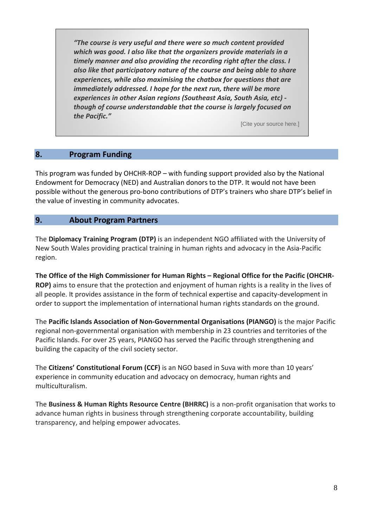*"The course is very useful and there were so much content provided which was good. I also like that the organizers provide materials in a timely manner and also providing the recording right after the class. I also like that participatory nature of the course and being able to share experiences, while also maximising the chatbox for questions that are immediately addressed. I hope for the next run, there will be more experiences in other Asian regions (Southeast Asia, South Asia, etc) though of course understandable that the course is largely focused on the Pacific."*

[Cite your source here.]

### **8. Program Funding**

This program was funded by OHCHR-ROP – with funding support provided also by the National Endowment for Democracy (NED) and Australian donors to the DTP. It would not have been possible without the generous pro-bono contributions of DTP's trainers who share DTP's belief in the value of investing in community advocates.

### **9. About Program Partners**

The **Diplomacy Training Program (DTP)** is an independent NGO affiliated with the University of New South Wales providing practical training in human rights and advocacy in the Asia-Pacific region.

**The Office of the High Commissioner for Human Rights – Regional Office for the Pacific (OHCHR-ROP)** aims to ensure that the protection and enjoyment of human rights is a reality in the lives of all people. It provides assistance in the form of technical expertise and capacity-development in order to support the implementation of international human rights standards on the ground.

The **Pacific Islands Association of Non-Governmental Organisations (PIANGO)** is the major Pacific regional non-governmental organisation with membership in 23 countries and territories of the Pacific Islands. For over 25 years, PIANGO has served the Pacific through strengthening and building the capacity of the civil society sector.

The **Citizens' Constitutional Forum (CCF)** is an NGO based in Suva with more than 10 years' experience in community education and advocacy on democracy, human rights and multiculturalism.

The **Business & Human Rights Resource Centre (BHRRC)** is a non-profit organisation that works to advance human rights in business through strengthening corporate accountability, building transparency, and helping empower advocates.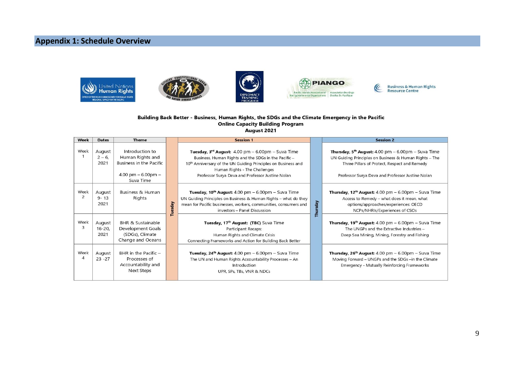## **Appendix 1: Schedule Overview**









Business & Human Rights<br>Resource Centre

E

#### Building Back Better - Business, Human Rights, the SDGs and the Climate Emergency in the Pacific **Online Capacity Building Program** August 2021

| Week                   | <b>Dates</b>                | <b>Theme</b>                                                                                          |         | <b>Session 1</b>                                                                                                                                                                                                                                                                        |          | <b>Session 2</b>                                                                                                                                                                                                          |
|------------------------|-----------------------------|-------------------------------------------------------------------------------------------------------|---------|-----------------------------------------------------------------------------------------------------------------------------------------------------------------------------------------------------------------------------------------------------------------------------------------|----------|---------------------------------------------------------------------------------------------------------------------------------------------------------------------------------------------------------------------------|
| Week                   | August<br>$2 - 6$<br>2021   | Introduction to<br>Human Rights and<br>Business in the Pacific<br>4.00 pm $-6.00$ pm $-$<br>Suva Time |         | Tuesday, $3^{rd}$ August: $4.00$ pm $- 6.00$ pm $-$ Suva Time<br>Business, Human Rights and the SDGs in the Pacific -<br>10 <sup>th</sup> Anniversary of the UN Guiding Principles on Business and<br>Human Rights - The Challenges<br>Professor Surya Deva and Professor Justine Nolan |          | Thursday, $5^{th}$ August: 4.00 pm $-$ 6.00pm $-$ Suva Time<br>UN Guiding Principles on Business & Human Rights - The<br>Three Pillars of Protect, Respect and Remedy<br>Professor Surya Deva and Professor Justine Nolan |
| Week<br>$\overline{c}$ | August<br>$9 - 13$<br>2021  | Business & Human<br>Rights                                                                            | Tuesday | Tuesday, 10 <sup>th</sup> August: $4.00$ pm $- 6.00$ pm $-$ Suva Time<br>UN Guiding Principles on Business & Human Rights - what do they<br>mean for Pacific businesses, workers, communities, consumers and<br>investors - Panel Discussion                                            | Thursday | <b>Thursday, 12<sup>th</sup> August:</b> 4.00 pm $-$ 6.00pm $-$ Suva Time<br>Access to Remedy - what does it mean, what<br>options/approaches/experiences: OECD<br>NCPs/NHRIs/Experiences of CSOs                         |
| Week<br>3              | August<br>$16 - 20$<br>2021 | BHR & Sustainable<br>Development Goals<br>(SDGs), Climate<br>Change and Oceans                        |         | Tuesday, 17 <sup>th</sup> August: (TBC) Suva Time<br>Participant Recaps:<br>Human Rights and Climate Crisis<br>Connecting Frameworks and Action for Building Back Better                                                                                                                |          | <b>Thursday, 19th August:</b> 4.00 pm $-$ 6.00pm $-$ Suva Time<br>The UNGPs and the Extractive Industries -<br>Deep Sea Mining, Mining, Forestry and Fishing                                                              |
| Week<br>$\overline{4}$ | August<br>$23 - 27$         | BHR in the Pacific -<br>Processes of<br>Accountability and<br>Next Steps                              |         | Tuesday, $24th$ August: $4.00$ pm $-$ 6.00pm $-$ Suva Time<br>The UN and Human Rights Accountability Processes - An<br><b>Introduction</b><br>UPR, SPs, TBs, VNR & NDCs                                                                                                                 |          | <b>Thursday, 26<sup>th</sup> August:</b> 4.00 pm $-$ 6.00pm $-$ Suva Time<br>Moving Forward - UNGPs and the SDGs -in the Climate<br>Emergency - Mutually Reinforcing Frameworks                                           |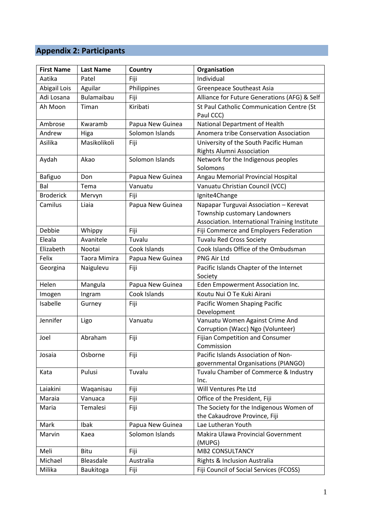# **Appendix 2: Participants**

| <b>First Name</b> | <b>Last Name</b>  | Country          | Organisation                                                                                                             |
|-------------------|-------------------|------------------|--------------------------------------------------------------------------------------------------------------------------|
| Aatika            | Patel             | Fiji             | Individual                                                                                                               |
| Abigail Lois      | Aguilar           | Philippines      | Greenpeace Southeast Asia                                                                                                |
| Adi Losana        | <b>Bulamaibau</b> | Fiji             | Alliance for Future Generations (AFG) & Self                                                                             |
| Ah Moon           | Timan             | Kiribati         | St Paul Catholic Communication Centre (St<br>Paul CCC)                                                                   |
| Ambrose           | Kwaramb           | Papua New Guinea | National Department of Health                                                                                            |
| Andrew            | Higa              | Solomon Islands  | Anomera tribe Conservation Association                                                                                   |
| Asilika           | Masikolikoli      | Fiji             | University of the South Pacific Human<br><b>Rights Alumni Association</b>                                                |
| Aydah             | Akao              | Solomon Islands  | Network for the Indigenous peoples<br>Solomons                                                                           |
| <b>Bafiguo</b>    | Don               | Papua New Guinea | Angau Memorial Provincial Hospital                                                                                       |
| Bal               | Tema              | Vanuatu          | Vanuatu Christian Council (VCC)                                                                                          |
| <b>Broderick</b>  | Mervyn            | Fiji             | Ignite4Change                                                                                                            |
| Camilus           | Liaia             | Papua New Guinea | Napapar Turguvai Association - Kerevat<br>Township customary Landowners<br>Association. International Training Institute |
| Debbie            | Whippy            | Fiji             | Fiji Commerce and Employers Federation                                                                                   |
| Eleala            | Avanitele         | Tuvalu           | <b>Tuvalu Red Cross Society</b>                                                                                          |
| Elizabeth         | Nootai            | Cook Islands     | Cook Islands Office of the Ombudsman                                                                                     |
| Felix             | Taora Mimira      | Papua New Guinea | PNG Air Ltd                                                                                                              |
|                   |                   |                  | Pacific Islands Chapter of the Internet                                                                                  |
| Georgina          | Naigulevu         | Fiji             | Society                                                                                                                  |
| Helen             | Mangula           | Papua New Guinea | Eden Empowerment Association Inc.                                                                                        |
| Imogen            | Ingram            | Cook Islands     | Koutu Nui O Te Kuki Airani                                                                                               |
| Isabelle          | Gurney            | Fiji             | Pacific Women Shaping Pacific<br>Development                                                                             |
| Jennifer          | Ligo              | Vanuatu          | Vanuatu Women Against Crime And<br>Corruption (Wacc) Ngo (Volunteer)                                                     |
| Joel              | Abraham           | Fiji             | Fijian Competition and Consumer<br>Commission                                                                            |
| Josaia            | Osborne           | Fiji             | Pacific Islands Association of Non-<br>governmental Organisations (PIANGO)                                               |
| Kata              | Pulusi            | Tuvalu           | Tuvalu Chamber of Commerce & Industry<br>Inc.                                                                            |
| Laiakini          | Waqanisau         | Fiji             | Will Ventures Pte Ltd                                                                                                    |
| Maraia            | Vanuaca           | Fiji             | Office of the President, Fiji                                                                                            |
| Maria             | Temalesi          | Fiji             | The Society for the Indigenous Women of<br>the Cakaudrove Province, Fiji                                                 |
| Mark              | Ibak              | Papua New Guinea | Lae Lutheran Youth                                                                                                       |
| Marvin            | Kaea              | Solomon Islands  | Makira Ulawa Provincial Government<br>(MUPG)                                                                             |
| Meli              | Bitu              | Fiji             | <b>MB2 CONSULTANCY</b>                                                                                                   |
| Michael           | Bleasdale         | Australia        | Rights & Inclusion Australia                                                                                             |
| Milika            | Baukitoga         | Fiji             | Fiji Council of Social Services (FCOSS)                                                                                  |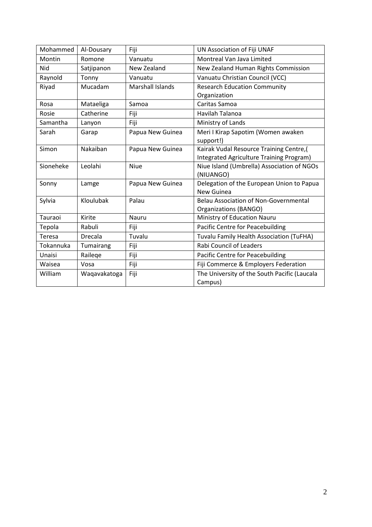| Mohammed  | Al-Dousary     | Fiji                    | UN Association of Fiji UNAF                  |  |
|-----------|----------------|-------------------------|----------------------------------------------|--|
| Montin    | Romone         | Vanuatu                 | Montreal Van Java Limited                    |  |
| Nid       | Satjipanon     | New Zealand             | New Zealand Human Rights Commission          |  |
| Raynold   | Tonny          | Vanuatu                 | Vanuatu Christian Council (VCC)              |  |
| Riyad     | Mucadam        | <b>Marshall Islands</b> | <b>Research Education Community</b>          |  |
|           |                |                         | Organization                                 |  |
| Rosa      | Mataeliga      | Samoa                   | Caritas Samoa                                |  |
| Rosie     | Catherine      | Fiji                    | Havilah Talanoa                              |  |
| Samantha  | Lanyon         | Fiji                    | Ministry of Lands                            |  |
| Sarah     | Garap          | Papua New Guinea        | Meri I Kirap Sapotim (Women awaken           |  |
|           |                |                         | support!)                                    |  |
| Simon     | Nakaiban       | Papua New Guinea        | Kairak Vudal Resource Training Centre,(      |  |
|           |                |                         | Integrated Agriculture Training Program)     |  |
| Sioneheke | Leolahi        | <b>Niue</b>             | Niue Island (Umbrella) Association of NGOs   |  |
|           |                |                         | (NIUANGO)                                    |  |
| Sonny     | Lamge          | Papua New Guinea        | Delegation of the European Union to Papua    |  |
|           |                |                         | New Guinea                                   |  |
| Sylvia    | Kloulubak      | Palau                   | <b>Belau Association of Non-Governmental</b> |  |
|           |                |                         | Organizations (BANGO)                        |  |
| Tauraoi   | Kirite         | Nauru                   | Ministry of Education Nauru                  |  |
| Tepola    | Rabuli         | Fiji                    | Pacific Centre for Peacebuilding             |  |
| Teresa    | <b>Drecala</b> | Tuvalu                  | Tuvalu Family Health Association (TuFHA)     |  |
| Tokannuka | Tumairang      | Fiji                    | <b>Rabi Council of Leaders</b>               |  |
| Unaisi    | Railege        | Fiji                    | Pacific Centre for Peacebuilding             |  |
| Waisea    | Vosa           | Fiji                    | Fiji Commerce & Employers Federation         |  |
| William   | Waqavakatoga   | Fiji                    | The University of the South Pacific (Laucala |  |
|           |                |                         | Campus)                                      |  |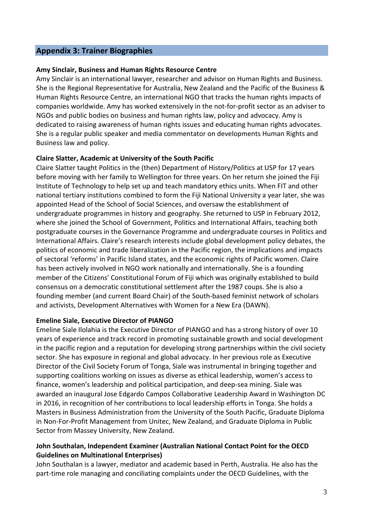## **Appendix 3: Trainer Biographies**

#### **Amy Sinclair, Business and Human Rights Resource Centre**

Amy Sinclair is an international lawyer, researcher and advisor on Human Rights and Business. She is the Regional Representative for Australia, New Zealand and the Pacific of the Business & Human Rights Resource Centre, an international NGO that tracks the human rights impacts of companies worldwide. Amy has worked extensively in the not-for-profit sector as an adviser to NGOs and public bodies on business and human rights law, policy and advocacy. Amy is dedicated to raising awareness of human rights issues and educating human rights advocates. She is a regular public speaker and media commentator on developments Human Rights and Business law and policy.

#### **Claire Slatter, Academic at University of the South Pacific**

Claire Slatter taught Politics in the (then) Department of History/Politics at USP for 17 years before moving with her family to Wellington for three years. On her return she joined the Fiji Institute of Technology to help set up and teach mandatory ethics units. When FIT and other national tertiary institutions combined to form the Fiji National University a year later, she was appointed Head of the School of Social Sciences, and oversaw the establishment of undergraduate programmes in history and geography. She returned to USP in February 2012, where she joined the School of Government, Politics and International Affairs, teaching both postgraduate courses in the Governance Programme and undergraduate courses in Politics and International Affairs. Claire's research interests include global development policy debates, the politics of economic and trade liberalization in the Pacific region, the implications and impacts of sectoral 'reforms' in Pacific Island states, and the economic rights of Pacific women. Claire has been actively involved in NGO work nationally and internationally. She is a founding member of the Citizens' Constitutional Forum of Fiji which was originally established to build consensus on a democratic constitutional settlement after the 1987 coups. She is also a founding member (and current Board Chair) of the South-based feminist network of scholars and activists, Development Alternatives with Women for a New Era (DAWN).

#### **Emeline Siale, Executive Director of PIANGO**

Emeline Siale Ilolahia is the Executive Director of PIANGO and has a strong history of over 10 years of experience and track record in promoting sustainable growth and social development in the pacific region and a reputation for developing strong partnerships within the civil society sector. She has exposure in regional and global advocacy. In her previous role as Executive Director of the Civil Society Forum of Tonga, Siale was instrumental in bringing together and supporting coalitions working on issues as diverse as ethical leadership, women's access to finance, women's leadership and political participation, and deep-sea mining. Siale was awarded an inaugural Jose Edgardo Campos Collaborative Leadership Award in Washington DC in 2016, in recognition of her contributions to local leadership efforts in Tonga. She holds a Masters in Business Administration from the University of the South Pacific, Graduate Diploma in Non-For-Profit Management from Unitec, New Zealand, and Graduate Diploma in Public Sector from Massey University, New Zealand.

### **John Southalan, Independent Examiner (Australian National Contact Point for the OECD Guidelines on Multinational Enterprises)**

John Southalan is a lawyer, mediator and academic based in Perth, Australia. He also has the part-time role managing and conciliating complaints under the OECD Guidelines, with the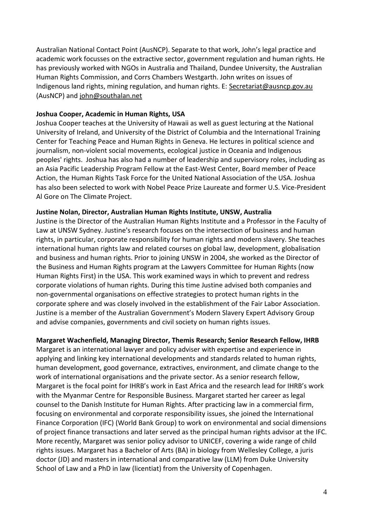Australian National Contact Point (AusNCP). Separate to that work, John's legal practice and academic work focusses on the extractive sector, government regulation and human rights. He has previously worked with NGOs in Australia and Thailand, Dundee University, the Australian Human Rights Commission, and Corrs Chambers Westgarth. John writes on issues of Indigenous land rights, mining regulation, and human rights. E: [Secretariat@ausncp.gov.au](mailto:Secretariat@ausncp.gov.au) (AusNCP) and [john@southalan.net](mailto:john@southalan.net)

#### **Joshua Cooper, Academic in Human Rights, USA**

Joshua Cooper teaches at the University of Hawaii as well as guest lecturing at the National University of Ireland, and University of the District of Columbia and the International Training Center for Teaching Peace and Human Rights in Geneva. He lectures in political science and journalism, non-violent social movements, ecological justice in Oceania and Indigenous peoples' rights. Joshua has also had a number of leadership and supervisory roles, including as an Asia Pacific Leadership Program Fellow at the East-West Center, Board member of Peace Action, the Human Rights Task Force for the United National Association of the USA. Joshua has also been selected to work with Nobel Peace Prize Laureate and former U.S. Vice-President Al Gore on The Climate Project.

#### **Justine Nolan, Director, Australian Human Rights Institute, UNSW, Australia**

Justine is the Director of the Australian Human Rights Institute and a Professor in the Faculty of Law at UNSW Sydney. Justine's research focuses on the intersection of business and human rights, in particular, corporate responsibility for human rights and modern slavery. She teaches international human rights law and related courses on global law, development, globalisation and business and human rights. Prior to joining UNSW in 2004, she worked as the Director of the Business and Human Rights program at the Lawyers Committee for Human Rights (now Human Rights First) in the USA. This work examined ways in which to prevent and redress corporate violations of human rights. During this time Justine advised both companies and non-governmental organisations on effective strategies to protect human rights in the corporate sphere and was closely involved in the establishment of the Fair Labor Association. Justine is a member of the Australian Government's Modern Slavery Expert Advisory Group and advise companies, governments and civil society on human rights issues.

#### **Margaret Wachenfield, Managing Director, Themis Research; Senior Research Fellow, IHRB**

Margaret is an international lawyer and policy adviser with expertise and experience in applying and linking key international developments and standards related to human rights, human development, good governance, extractives, environment, and climate change to the work of international organisations and the private sector. As a senior research fellow, Margaret is the focal point for IHRB's work in East Africa and the research lead for IHRB's work with the Myanmar Centre for Responsible Business. Margaret started her career as legal counsel to the Danish Institute for Human Rights. After practicing law in a commercial firm, focusing on environmental and corporate responsibility issues, she joined the International Finance Corporation (IFC) (World Bank Group) to work on environmental and social dimensions of project finance transactions and later served as the principal human rights advisor at the IFC. More recently, Margaret was senior policy advisor to UNICEF, covering a wide range of child rights issues. Margaret has a Bachelor of Arts (BA) in biology from Wellesley College, a juris doctor (JD) and masters in international and comparative law (LLM) from Duke University School of Law and a PhD in law (licentiat) from the University of Copenhagen.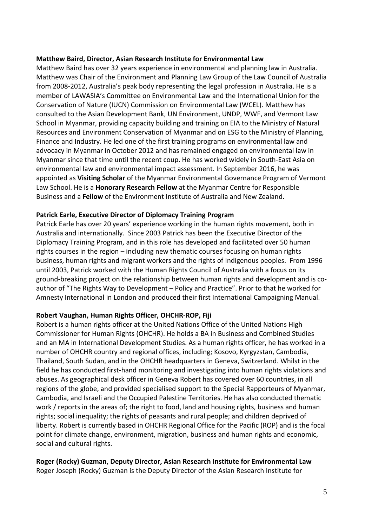#### **Matthew Baird, Director, Asian Research Institute for Environmental Law**

Matthew Baird has over 32 years experience in environmental and planning law in Australia. Matthew was Chair of the Environment and Planning Law Group of the Law Council of Australia from 2008-2012, Australia's peak body representing the legal profession in Australia. He is a member of LAWASIA's Committee on Environmental Law and the International Union for the Conservation of Nature (IUCN) Commission on Environmental Law (WCEL). Matthew has consulted to the Asian Development Bank, UN Environment, UNDP, WWF, and Vermont Law School in Myanmar, providing capacity building and training on EIA to the Ministry of Natural Resources and Environment Conservation of Myanmar and on ESG to the Ministry of Planning, Finance and Industry. He led one of the first training programs on environmental law and advocacy in Myanmar in October 2012 and has remained engaged on environmental law in Myanmar since that time until the recent coup. He has worked widely in South-East Asia on environmental law and environmental impact assessment. In September 2016, he was appointed as **Visiting Scholar** of the Myanmar Environmental Governance Program of Vermont Law School. He is a **Honorary Research Fellow** at the Myanmar Centre for Responsible Business and a **Fellow** of the Environment Institute of Australia and New Zealand.

#### **Patrick Earle, Executive Director of Diplomacy Training Program**

Patrick Earle has over 20 years' experience working in the human rights movement, both in Australia and internationally. Since 2003 Patrick has been the Executive Director of the Diplomacy Training Program, and in this role has developed and facilitated over 50 human rights courses in the region – including new thematic courses focusing on human rights business, human rights and migrant workers and the rights of Indigenous peoples. From 1996 until 2003, Patrick worked with the Human Rights Council of Australia with a focus on its ground-breaking project on the relationship between human rights and development and is coauthor of "The Rights Way to Development – Policy and Practice". Prior to that he worked for Amnesty International in London and produced their first International Campaigning Manual.

#### **Robert Vaughan, Human Rights Officer, OHCHR-ROP, Fiji**

Robert is a human rights officer at the United Nations Office of the United Nations High Commissioner for Human Rights (OHCHR). He holds a BA in Business and Combined Studies and an MA in International Development Studies. As a human rights officer, he has worked in a number of OHCHR country and regional offices, including; Kosovo, Kyrgyzstan, Cambodia, Thailand, South Sudan, and in the OHCHR headquarters in Geneva, Switzerland. Whilst in the field he has conducted first-hand monitoring and investigating into human rights violations and abuses. As geographical desk officer in Geneva Robert has covered over 60 countries, in all regions of the globe, and provided specialised support to the Special Rapporteurs of Myanmar, Cambodia, and Israeli and the Occupied Palestine Territories. He has also conducted thematic work / reports in the areas of; the right to food, land and housing rights, business and human rights; social inequality; the rights of peasants and rural people; and children deprived of liberty. Robert is currently based in OHCHR Regional Office for the Pacific (ROP) and is the focal point for climate change, environment, migration, business and human rights and economic, social and cultural rights.

#### **Roger (Rocky) Guzman, Deputy Director, Asian Research Institute for Environmental Law** Roger Joseph (Rocky) Guzman is the Deputy Director of the Asian Research Institute for